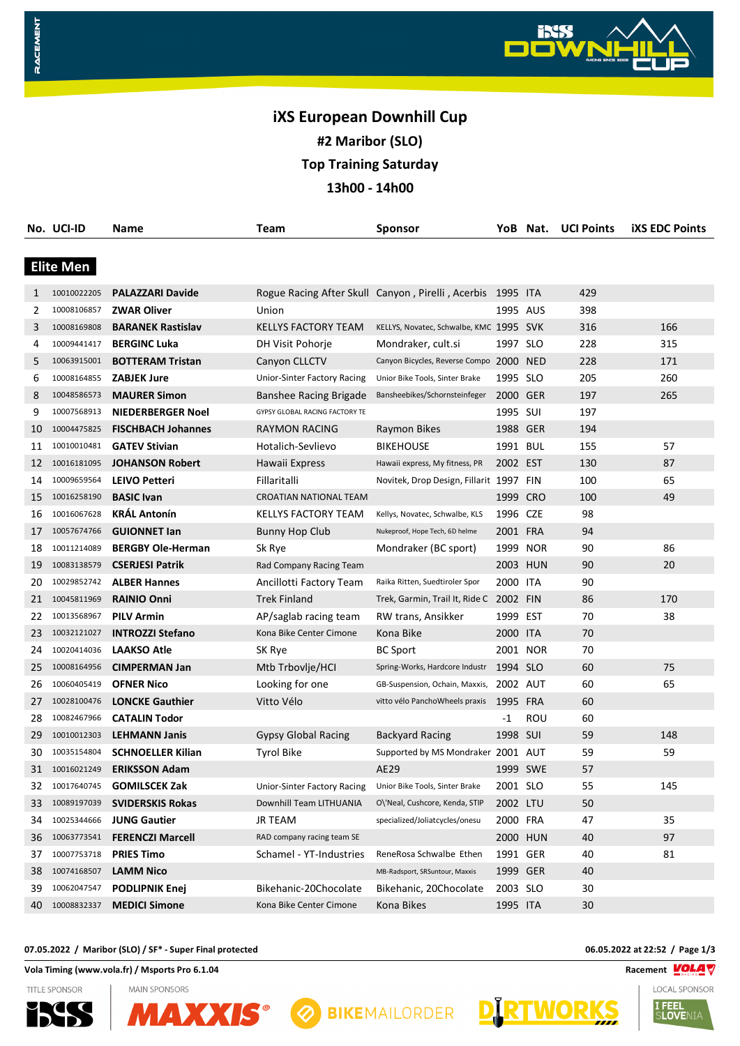# **iXS European Downhill Cup #2 Maribor (SLO) Top Training Saturday 13h00 - 14h00**

|    | No. UCI-ID       | Name                      | Team                           | Sponsor                                                    |          | YoB Nat. | <b>UCI Points</b> | <b>iXS EDC Points</b> |
|----|------------------|---------------------------|--------------------------------|------------------------------------------------------------|----------|----------|-------------------|-----------------------|
|    |                  |                           |                                |                                                            |          |          |                   |                       |
|    | <b>Elite Men</b> |                           |                                |                                                            |          |          |                   |                       |
| 1  | 10010022205      | <b>PALAZZARI Davide</b>   |                                | Rogue Racing After Skull Canyon, Pirelli, Acerbis 1995 ITA |          |          | 429               |                       |
| 2  | 10008106857      | <b>ZWAR Oliver</b>        | Union                          |                                                            | 1995 AUS |          | 398               |                       |
| 3  | 10008169808      | <b>BARANEK Rastislav</b>  | KELLYS FACTORY TEAM            | KELLYS, Novatec, Schwalbe, KMC 1995 SVK                    |          |          | 316               | 166                   |
| 4  | 10009441417      | <b>BERGINC Luka</b>       | DH Visit Pohorje               | Mondraker, cult.si                                         | 1997 SLO |          | 228               | 315                   |
| 5  | 10063915001      | <b>BOTTERAM Tristan</b>   | Canyon CLLCTV                  | Canyon Bicycles, Reverse Compo 2000 NED                    |          |          | 228               | 171                   |
| 6  | 10008164855      | <b>ZABJEK Jure</b>        | Unior-Sinter Factory Racing    | Unior Bike Tools, Sinter Brake                             | 1995 SLO |          | 205               | 260                   |
| 8  | 10048586573      | <b>MAURER Simon</b>       | Banshee Racing Brigade         | Bansheebikes/Schornsteinfeger                              | 2000 GER |          | 197               | 265                   |
| 9  | 10007568913      | NIEDERBERGER Noel         | GYPSY GLOBAL RACING FACTORY TE |                                                            | 1995 SUI |          | 197               |                       |
| 10 | 10004475825      | <b>FISCHBACH Johannes</b> | RAYMON RACING                  | Raymon Bikes                                               | 1988 GER |          | 194               |                       |
| 11 | 10010010481      | <b>GATEV Stivian</b>      | Hotalich-Sevlievo              | <b>BIKEHOUSE</b>                                           | 1991 BUL |          | 155               | 57                    |
| 12 | 10016181095      | <b>JOHANSON Robert</b>    | Hawaii Express                 | Hawaii express, My fitness, PR                             | 2002 EST |          | 130               | 87                    |
| 14 | 10009659564      | LEIVO Petteri             | Fillaritalli                   | Novitek, Drop Design, Fillarit 1997 FIN                    |          |          | 100               | 65                    |
| 15 | 10016258190      | <b>BASIC Ivan</b>         | CROATIAN NATIONAL TEAM         |                                                            | 1999 CRO |          | 100               | 49                    |
| 16 | 10016067628      | <b>KRÁL Antonín</b>       | KELLYS FACTORY TEAM            | Kellys, Novatec, Schwalbe, KLS                             | 1996 CZE |          | 98                |                       |
| 17 | 10057674766      | <b>GUIONNET lan</b>       | <b>Bunny Hop Club</b>          | Nukeproof, Hope Tech, 6D helme                             | 2001 FRA |          | 94                |                       |
| 18 | 10011214089      | <b>BERGBY Ole-Herman</b>  | Sk Rye                         | Mondraker (BC sport)                                       | 1999 NOR |          | 90                | 86                    |
| 19 | 10083138579      | <b>CSERJESI Patrik</b>    | Rad Company Racing Team        |                                                            | 2003 HUN |          | 90                | 20                    |
| 20 | 10029852742      | <b>ALBER Hannes</b>       | Ancillotti Factory Team        | Raika Ritten, Suedtiroler Spor                             | 2000 ITA |          | 90                |                       |
| 21 | 10045811969      | <b>RAINIO Onni</b>        | <b>Trek Finland</b>            | Trek, Garmin, Trail It, Ride C 2002 FIN                    |          |          | 86                | 170                   |
| 22 | 10013568967      | <b>PILV Armin</b>         | AP/saglab racing team          | RW trans, Ansikker                                         | 1999 EST |          | 70                | 38                    |
| 23 | 10032121027      | <b>INTROZZI Stefano</b>   | Kona Bike Center Cimone        | Kona Bike                                                  | 2000 ITA |          | 70                |                       |
| 24 | 10020414036      | <b>LAAKSO Atle</b>        | SK Rye                         | <b>BC Sport</b>                                            | 2001 NOR |          | 70                |                       |
| 25 | 10008164956      | <b>CIMPERMAN Jan</b>      | Mtb Trbovlje/HCI               | Spring-Works, Hardcore Industr                             | 1994 SLO |          | 60                | 75                    |
| 26 | 10060405419      | <b>OFNER Nico</b>         | Looking for one                | GB-Suspension, Ochain, Maxxis,                             | 2002 AUT |          | 60                | 65                    |
| 27 | 10028100476      | <b>LONCKE Gauthier</b>    | Vitto Vélo                     | vitto vélo PanchoWheels praxis                             | 1995 FRA |          | 60                |                       |
| 28 | 10082467966      | <b>CATALIN Todor</b>      |                                |                                                            | -1       | ROU      | 60                |                       |
| 29 | 10010012303      | <b>LEHMANN Janis</b>      | <b>Gypsy Global Racing</b>     | <b>Backyard Racing</b>                                     | 1998 SUI |          | 59                | 148                   |
| 30 | 10035154804      | <b>SCHNOELLER Kilian</b>  | <b>Tyrol Bike</b>              | Supported by MS Mondraker 2001 AUT                         |          |          | 59                | 59                    |
| 31 | 10016021249      | <b>ERIKSSON Adam</b>      |                                | AE29                                                       | 1999 SWE |          | 57                |                       |
| 32 | 10017640745      | <b>GOMILSCEK Zak</b>      | Unior-Sinter Factory Racing    | Unior Bike Tools, Sinter Brake                             | 2001 SLO |          | 55                | 145                   |
| 33 | 10089197039      | <b>SVIDERSKIS Rokas</b>   | Downhill Team LITHUANIA        | O\'Neal, Cushcore, Kenda, STIP                             | 2002 LTU |          | 50                |                       |
| 34 | 10025344666      | <b>JUNG Gautier</b>       | <b>JR TEAM</b>                 | specialized/Joliatcycles/onesu                             | 2000 FRA |          | 47                | 35                    |
| 36 | 10063773541      | <b>FERENCZI Marcell</b>   | RAD company racing team SE     |                                                            | 2000 HUN |          | 40                | 97                    |
| 37 | 10007753718      | <b>PRIES Timo</b>         | Schamel - YT-Industries        | ReneRosa Schwalbe Ethen                                    | 1991 GER |          | 40                | 81                    |
| 38 | 10074168507      | <b>LAMM Nico</b>          |                                | MB-Radsport, SRSuntour, Maxxis                             | 1999 GER |          | 40                |                       |
| 39 | 10062047547      | <b>PODLIPNIK Enej</b>     | Bikehanic-20Chocolate          | Bikehanic, 20Chocolate                                     | 2003 SLO |          | 30                |                       |
| 40 | 10008832337      | <b>MEDICI Simone</b>      | Kona Bike Center Cimone        | Kona Bikes                                                 | 1995 ITA |          | 30                |                       |

#### **07.05.2022 / Maribor (SLO) / SF\* - Super Final protected 06.05.2022 at 22:52 / Page 1/3**

**Vola Timing (www.vola.fr) / Msports Pro 6.1.04 Racement VOLAT** 



RACEMENT

**MAIN SPONSORS MAXX** 



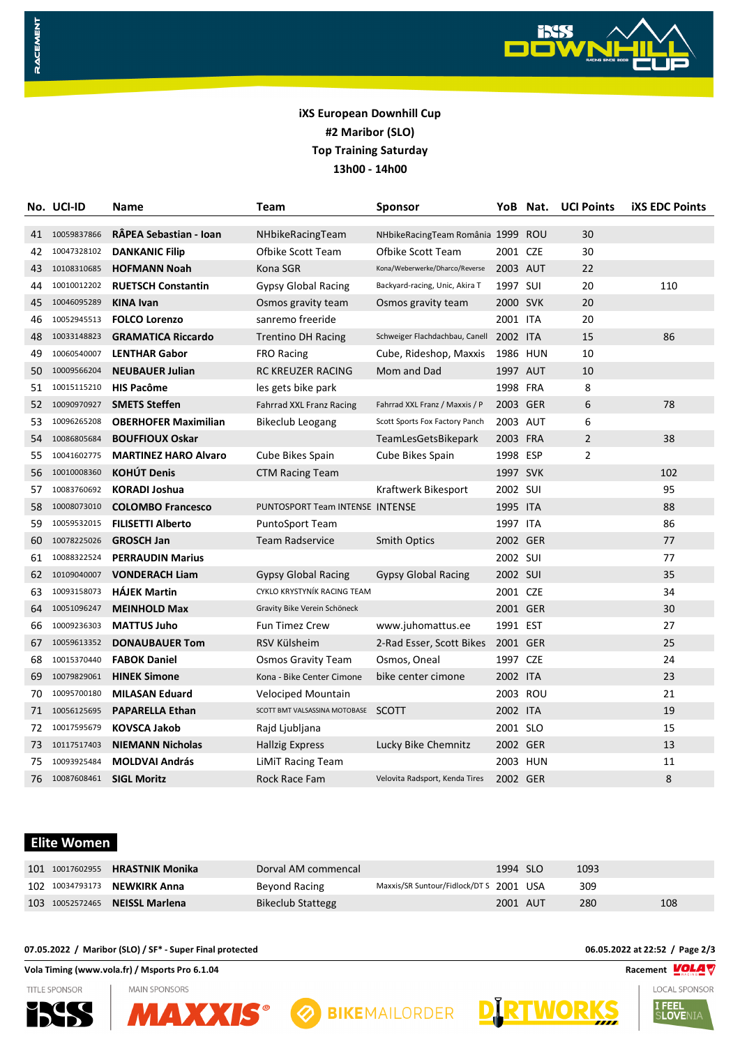

# **iXS European Downhill Cup #2 Maribor (SLO) Top Training Saturday 13h00 - 14h00**

|     | No. UCI-ID  | Name                        | Team                                | Sponsor                           |          | YoB Nat. | <b>UCI Points</b> | <b>iXS EDC Points</b> |
|-----|-------------|-----------------------------|-------------------------------------|-----------------------------------|----------|----------|-------------------|-----------------------|
| 41  | 10059837866 | RÂPEA Sebastian - Ioan      | NHbikeRacingTeam                    | NHbikeRacingTeam România 1999 ROU |          |          | 30                |                       |
| 42  | 10047328102 | <b>DANKANIC Filip</b>       | Ofbike Scott Team                   | Ofbike Scott Team                 | 2001 CZE |          | 30                |                       |
| 43  | 10108310685 | <b>HOFMANN Noah</b>         | Kona SGR                            | Kona/Weberwerke/Dharco/Reverse    | 2003 AUT |          | 22                |                       |
| 44  | 10010012202 | <b>RUETSCH Constantin</b>   | <b>Gypsy Global Racing</b>          | Backyard-racing, Unic, Akira T    | 1997 SUI |          | 20                | 110                   |
| 45  | 10046095289 | <b>KINA Ivan</b>            | Osmos gravity team                  | Osmos gravity team                | 2000 SVK |          | 20                |                       |
| 46  | 10052945513 | <b>FOLCO Lorenzo</b>        | sanremo freeride                    |                                   | 2001 ITA |          | 20                |                       |
| 48  | 10033148823 | <b>GRAMATICA Riccardo</b>   | <b>Trentino DH Racing</b>           | Schweiger Flachdachbau, Canell    | 2002 ITA |          | 15                | 86                    |
| 49  | 10060540007 | <b>LENTHAR Gabor</b>        | <b>FRO Racing</b>                   | Cube, Rideshop, Maxxis            | 1986 HUN |          | 10                |                       |
| 50  | 10009566204 | <b>NEUBAUER Julian</b>      | <b>RC KREUZER RACING</b>            | Mom and Dad                       | 1997 AUT |          | 10                |                       |
| 51  | 10015115210 | <b>HIS Pacôme</b>           | les gets bike park                  |                                   | 1998 FRA |          | 8                 |                       |
| 52. | 10090970927 | <b>SMETS Steffen</b>        | <b>Fahrrad XXL Franz Racing</b>     | Fahrrad XXL Franz / Maxxis / P    | 2003 GER |          | 6                 | 78                    |
| 53  | 10096265208 | <b>OBERHOFER Maximilian</b> | <b>Bikeclub Leogang</b>             | Scott Sports Fox Factory Panch    | 2003 AUT |          | 6                 |                       |
| 54  | 10086805684 | <b>BOUFFIOUX Oskar</b>      |                                     | TeamLesGetsBikepark               | 2003 FRA |          | 2                 | 38                    |
| 55  | 10041602775 | <b>MARTINEZ HARO Alvaro</b> | Cube Bikes Spain                    | Cube Bikes Spain                  | 1998 ESP |          | $\overline{2}$    |                       |
| 56  | 10010008360 | <b>KOHÚT Denis</b>          | CTM Racing Team                     |                                   | 1997 SVK |          |                   | 102                   |
| 57  | 10083760692 | <b>KORADI Joshua</b>        |                                     | Kraftwerk Bikesport               | 2002 SUI |          |                   | 95                    |
| 58  | 10008073010 | <b>COLOMBO Francesco</b>    | PUNTOSPORT Team INTENSE INTENSE     |                                   | 1995 ITA |          |                   | 88                    |
| 59  | 10059532015 | <b>FILISETTI Alberto</b>    | <b>PuntoSport Team</b>              |                                   | 1997 ITA |          |                   | 86                    |
| 60  | 10078225026 | <b>GROSCH Jan</b>           | <b>Team Radservice</b>              | <b>Smith Optics</b>               | 2002 GER |          |                   | 77                    |
| 61  | 10088322524 | <b>PERRAUDIN Marius</b>     |                                     |                                   | 2002 SUI |          |                   | 77                    |
| 62  | 10109040007 | <b>VONDERACH Liam</b>       | <b>Gypsy Global Racing</b>          | <b>Gypsy Global Racing</b>        | 2002 SUI |          |                   | 35                    |
| 63  | 10093158073 | <b>HÁJEK Martin</b>         | CYKLO KRYSTYNÍK RACING TEAM         |                                   | 2001 CZE |          |                   | 34                    |
| 64  | 10051096247 | <b>MEINHOLD Max</b>         | Gravity Bike Verein Schöneck        |                                   | 2001 GER |          |                   | 30                    |
| 66  | 10009236303 | <b>MATTUS Juho</b>          | <b>Fun Timez Crew</b>               | www.juhomattus.ee                 | 1991 EST |          |                   | 27                    |
| 67  | 10059613352 | <b>DONAUBAUER Tom</b>       | RSV Külsheim                        | 2-Rad Esser, Scott Bikes          | 2001 GER |          |                   | 25                    |
| 68  | 10015370440 | <b>FABOK Daniel</b>         | Osmos Gravity Team                  | Osmos, Oneal                      | 1997 CZE |          |                   | 24                    |
| 69  | 10079829061 | <b>HINEK Simone</b>         | Kona - Bike Center Cimone           | bike center cimone                | 2002 ITA |          |                   | 23                    |
| 70  | 10095700180 | <b>MILASAN Eduard</b>       | <b>Velociped Mountain</b>           |                                   | 2003 ROU |          |                   | 21                    |
| 71  | 10056125695 | <b>PAPARELLA Ethan</b>      | SCOTT BMT VALSASSINA MOTOBASE SCOTT |                                   | 2002 ITA |          |                   | 19                    |
| 72  | 10017595679 | <b>KOVSCA Jakob</b>         | Rajd Ljubljana                      |                                   | 2001 SLO |          |                   | 15                    |
| 73  | 10117517403 | <b>NIEMANN Nicholas</b>     | <b>Hallzig Express</b>              | Lucky Bike Chemnitz               | 2002 GER |          |                   | 13                    |
| 75  | 10093925484 | <b>MOLDVAI András</b>       | <b>LiMiT Racing Team</b>            |                                   | 2003 HUN |          |                   | 11                    |
| 76  | 10087608461 | <b>SIGL Moritz</b>          | Rock Race Fam                       | Velovita Radsport, Kenda Tires    | 2002 GER |          |                   | 8                     |

# **Elite Women**

RACEMENT

| 101 10017602955 <b>HRASTNIK Monika</b> | Dorval AM commencal      |                                         | 1994 SLO | 1093 |     |
|----------------------------------------|--------------------------|-----------------------------------------|----------|------|-----|
| 102 10034793173 NEWKIRK Anna           | Beyond Racing            | Maxxis/SR Suntour/Fidlock/DT S 2001 USA |          | 309  |     |
| 103 10052572465 NEISSL Marlena         | <b>Bikeclub Stattegg</b> |                                         | 2001 AUT | 280  | 108 |

#### **07.05.2022 / Maribor (SLO) / SF\* - Super Final protected 06.05.2022 at 22:52 / Page 2/3**

**Vola Timing (www.vola.fr) / Msports Pro 6.1.04 Racement VOLAT** 

**TITLE SPONSOR**